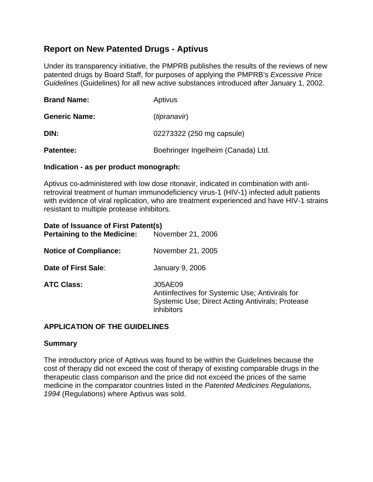# **Report on New Patented Drugs - Aptivus**

Under its transparency initiative, the PMPRB publishes the results of the reviews of new patented drugs by Board Staff, for purposes of applying the PMPRB's *Excessive Price Guidelines* (Guidelines) for all new active substances introduced after January 1, 2002.

| <b>Brand Name:</b>   | Aptivus                            |  |
|----------------------|------------------------------------|--|
| <b>Generic Name:</b> | (tipranavir)                       |  |
| DIN:                 | 02273322 (250 mg capsule)          |  |
| Patentee:            | Boehringer Ingelheim (Canada) Ltd. |  |

#### **Indication - as per product monograph:**

Aptivus co-administered with low dose ritonavir, indicated in combination with antiretroviral treatment of human immunodeficiency virus-1 (HIV-1) infected adult patients with evidence of viral replication, who are treatment experienced and have HIV-1 strains resistant to multiple protease inhibitors.

| Date of Issuance of First Patent(s)<br><b>Pertaining to the Medicine:</b> | November 21, 2006                                                                                                            |
|---------------------------------------------------------------------------|------------------------------------------------------------------------------------------------------------------------------|
| <b>Notice of Compliance:</b>                                              | November 21, 2005                                                                                                            |
| Date of First Sale:                                                       | <b>January 9, 2006</b>                                                                                                       |
| <b>ATC Class:</b>                                                         | J05AE09<br>Antiinfectives for Systemic Use; Antivirals for<br>Systemic Use; Direct Acting Antivirals; Protease<br>inhibitors |

### **APPLICATION OF THE GUIDELINES**

### **Summary**

The introductory price of Aptivus was found to be within the Guidelines because the cost of therapy did not exceed the cost of therapy of existing comparable drugs in the therapeutic class comparison and the price did not exceed the prices of the same medicine in the comparator countries listed in the *Patented Medicines Regulations, 1994* (Regulations) where Aptivus was sold.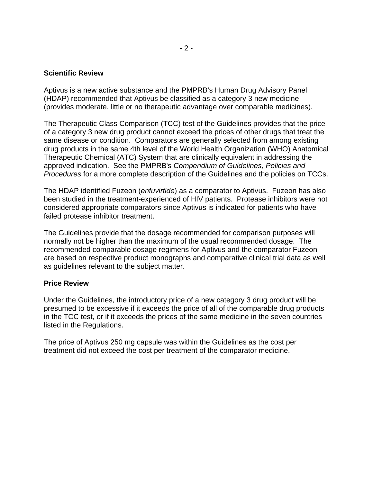#### **Scientific Review**

Aptivus is a new active substance and the PMPRB's Human Drug Advisory Panel (HDAP) recommended that Aptivus be classified as a category 3 new medicine (provides moderate, little or no therapeutic advantage over comparable medicines).

The Therapeutic Class Comparison (TCC) test of the Guidelines provides that the price of a category 3 new drug product cannot exceed the prices of other drugs that treat the same disease or condition. Comparators are generally selected from among existing drug products in the same 4th level of the World Health Organization (WHO) Anatomical Therapeutic Chemical (ATC) System that are clinically equivalent in addressing the approved indication. See the PMPRB's *Compendium of Guidelines, Policies and Procedures* for a more complete description of the Guidelines and the policies on TCCs.

The HDAP identified Fuzeon (*enfuvirtide*) as a comparator to Aptivus. Fuzeon has also been studied in the treatment-experienced of HIV patients. Protease inhibitors were not considered appropriate comparators since Aptivus is indicated for patients who have failed protease inhibitor treatment.

The Guidelines provide that the dosage recommended for comparison purposes will normally not be higher than the maximum of the usual recommended dosage. The recommended comparable dosage regimens for Aptivus and the comparator Fuzeon are based on respective product monographs and comparative clinical trial data as well as guidelines relevant to the subject matter.

#### **Price Review**

Under the Guidelines, the introductory price of a new category 3 drug product will be presumed to be excessive if it exceeds the price of all of the comparable drug products in the TCC test, or if it exceeds the prices of the same medicine in the seven countries listed in the Regulations.

The price of Aptivus 250 mg capsule was within the Guidelines as the cost per treatment did not exceed the cost per treatment of the comparator medicine.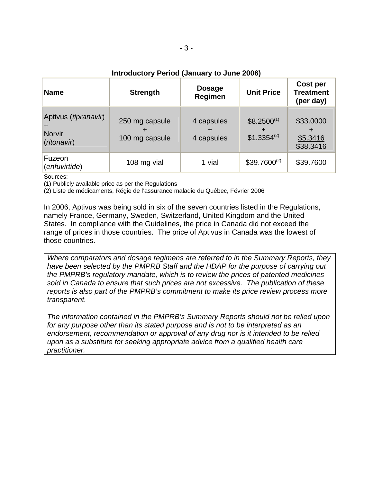## **Introductory Period (January to June 2006)**

| <b>Name</b>                                                   | <b>Strength</b>                  | <b>Dosage</b><br>Regimen | <b>Unit Price</b>                         | Cost per<br><b>Treatment</b><br>(per day) |
|---------------------------------------------------------------|----------------------------------|--------------------------|-------------------------------------------|-------------------------------------------|
| Aptivus ( <i>tipranavir</i> )<br><b>Norvir</b><br>(ritonavir) | 250 mg capsule<br>100 mg capsule | 4 capsules<br>4 capsules | $$8.2500^{(1)}$$<br>+<br>$$1.3354^{(2)}$$ | \$33.0000<br>\$5.3416<br>\$38.3416        |
| Fuzeon<br>(enfuvirtide)                                       | 108 mg vial                      | 1 vial                   | $$39.7600^{(2)}$                          | \$39.7600                                 |

Sources:

(1) Publicly available price as per the Regulations

(2) Liste de médicaments, Régie de l'assurance maladie du Québec, Février 2006

In 2006, Aptivus was being sold in six of the seven countries listed in the Regulations, namely France, Germany, Sweden, Switzerland, United Kingdom and the United States. In compliance with the Guidelines, the price in Canada did not exceed the range of prices in those countries. The price of Aptivus in Canada was the lowest of those countries.

*Where comparators and dosage regimens are referred to in the Summary Reports, they have been selected by the PMPRB Staff and the HDAP for the purpose of carrying out the PMPRB's regulatory mandate, which is to review the prices of patented medicines sold in Canada to ensure that such prices are not excessive. The publication of these reports is also part of the PMPRB's commitment to make its price review process more transparent.* 

*The information contained in the PMPRB's Summary Reports should not be relied upon for any purpose other than its stated purpose and is not to be interpreted as an endorsement, recommendation or approval of any drug nor is it intended to be relied upon as a substitute for seeking appropriate advice from a qualified health care practitioner.*